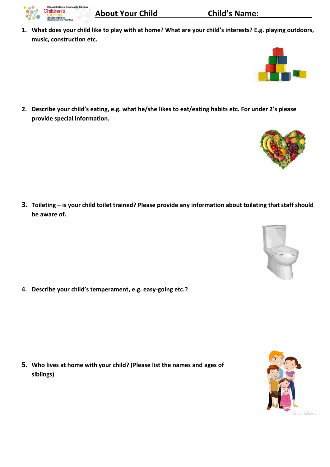- **About Your Child Child's Name:**
- **1. What does your child like to play with at home? What are your child's interests? E.g. playing outdoors, music, construction etc.**

**2. Describe your child's eating, e.g. what he/she likes to eat/eating habits etc. For under 2's please provide special information.**

**3. Toileting – is your child toilet trained? Please provide any information about toileting that staff should be aware of.** 

**4. Describe your child's temperament, e.g. easy-going etc.?**

**5. Who lives at home with your child? (Please list the names and ages of siblings)**









eth Grove Community Campus

hildren's